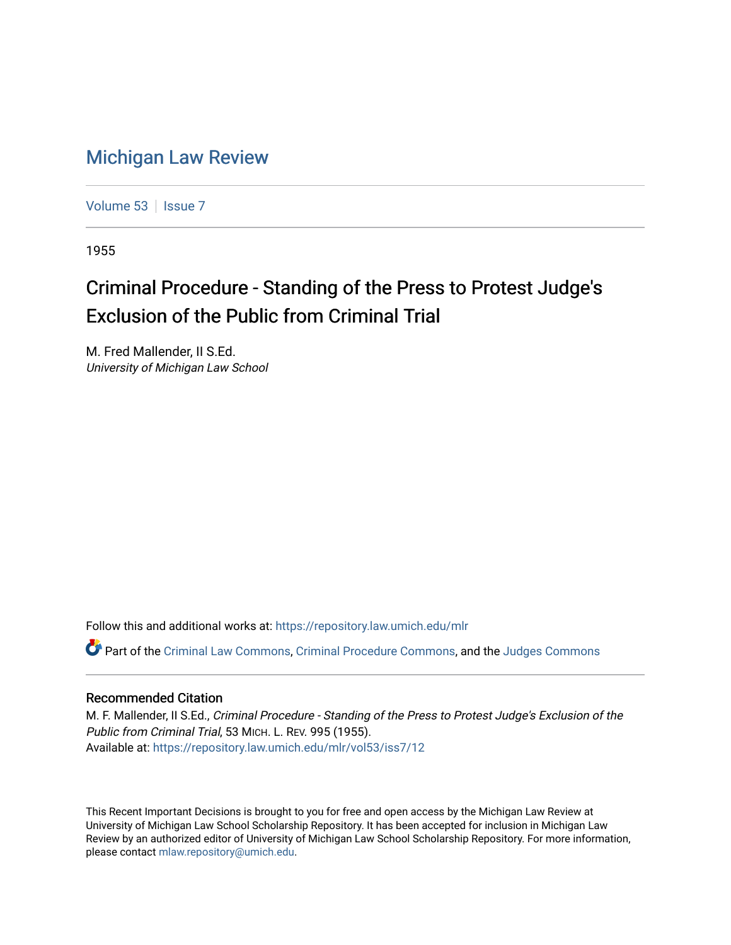## [Michigan Law Review](https://repository.law.umich.edu/mlr)

[Volume 53](https://repository.law.umich.edu/mlr/vol53) | [Issue 7](https://repository.law.umich.edu/mlr/vol53/iss7)

1955

## Criminal Procedure - Standing of the Press to Protest Judge's Exclusion of the Public from Criminal Trial

M. Fred Mallender, II S.Ed. University of Michigan Law School

Follow this and additional works at: [https://repository.law.umich.edu/mlr](https://repository.law.umich.edu/mlr?utm_source=repository.law.umich.edu%2Fmlr%2Fvol53%2Fiss7%2F12&utm_medium=PDF&utm_campaign=PDFCoverPages) 

Part of the [Criminal Law Commons,](http://network.bepress.com/hgg/discipline/912?utm_source=repository.law.umich.edu%2Fmlr%2Fvol53%2Fiss7%2F12&utm_medium=PDF&utm_campaign=PDFCoverPages) [Criminal Procedure Commons,](http://network.bepress.com/hgg/discipline/1073?utm_source=repository.law.umich.edu%2Fmlr%2Fvol53%2Fiss7%2F12&utm_medium=PDF&utm_campaign=PDFCoverPages) and the [Judges Commons](http://network.bepress.com/hgg/discipline/849?utm_source=repository.law.umich.edu%2Fmlr%2Fvol53%2Fiss7%2F12&utm_medium=PDF&utm_campaign=PDFCoverPages) 

## Recommended Citation

M. F. Mallender, II S.Ed., Criminal Procedure - Standing of the Press to Protest Judge's Exclusion of the Public from Criminal Trial, 53 MICH. L. REV. 995 (1955). Available at: [https://repository.law.umich.edu/mlr/vol53/iss7/12](https://repository.law.umich.edu/mlr/vol53/iss7/12?utm_source=repository.law.umich.edu%2Fmlr%2Fvol53%2Fiss7%2F12&utm_medium=PDF&utm_campaign=PDFCoverPages) 

This Recent Important Decisions is brought to you for free and open access by the Michigan Law Review at University of Michigan Law School Scholarship Repository. It has been accepted for inclusion in Michigan Law Review by an authorized editor of University of Michigan Law School Scholarship Repository. For more information, please contact [mlaw.repository@umich.edu.](mailto:mlaw.repository@umich.edu)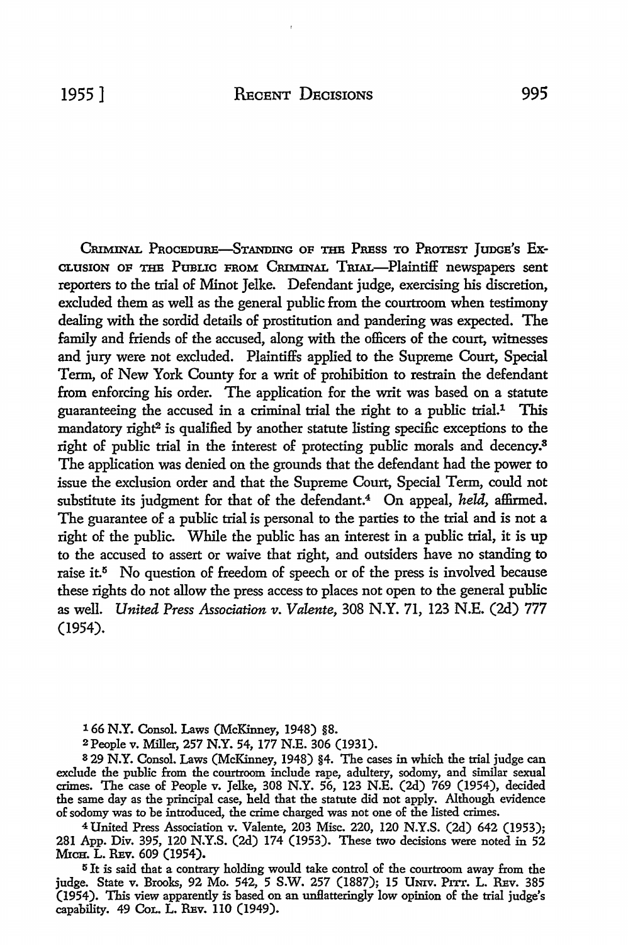CRIMINAL PROCEDURE-STANDING OF THE PRESS TO PROTEST JUDGE'S EX-CLUSION OF THE PUBLIC FROM CRIMINAL TRIAL-Plaintiff newspapers sent reporters to the trial of Minot Jelke. Defendant judge, exercising his discretion, excluded them as well as the general public from the courtroom when testimony dealing with the sordid details of prostitution and pandering was expected. The family and friends of the accused, along with the officers of the court, witnesses and jury were not excluded. Plaintiffs applied to the Supreme Court, Special Term, of New York County for a writ of prohibition to restrain the defendant from enforcing his order. The application for the writ was based on a statute guaranteeing the accused in a criminal trial the right to a public trial.<sup>1</sup> This mandatory right<sup>2</sup> is qualified by another statute listing specific exceptions to the right of public trial in the interest of protecting public morals and decency.<sup>3</sup> The application was denied on the grounds that the defendant had the power to issue the exclusion order and that the Supreme Court, Special Term, could not substitute its judgment for that of the defendant.4 On appeal, *held,* affirmed. The guarantee of a public trial is personal to the parties to the trial and is not a right of the public. While the public has an interest in a public trial, it is up to the accused to assert or waive that right, and outsiders have no standing to raise it.<sup>5</sup> No question of freedom of speech or of the press is involved because these rights do not allow the press access to places not open to the general public as well. *United Press Association v. Valente,* 308 N.Y. 71, 123 N.E. (2d) 777 (1954).

1 66 N.Y. Consol. Laws (McKinney, 1948) §8.

2People v. Miller, 257 N.Y. 54, 177 N.E. 306 (1931).

<sup>3</sup>29 N.Y. Consol. Laws (McKinney, 1948) §4. The cases in which the trial judge can exclude the public from the courtroom include rape, adultery, sodomy, and similar sexual crimes. The case of People v. Jelke, 308 N.Y. 56, 123 N.E. (2d) 769 (1954), decided the same day as the principal case, held that the statute did not apply. Although evidence of sodomy was to be introduced, the crime charged was not one of the listed crimes.

<sup>4</sup>United Press Association v. Valente, 203 Misc. 220, 120 N.Y.S. (2d) 642 (1953); 281 App. Div. 395, 120 N.Y.S. (2d) 174 (1953). These two decisions were noted in 52 MICH. L. REV. 609 (1954).

<sup>5</sup>It is said that a contrary holding would take control of the courtroom away from the judge. State v. Brooks, 92 Mo. 542, 5 S.W. 257 (1887); 15 UNIV. PITT. L. REV. 385 (1954). This view apparently is based on an unflatteringly low opinion of the trial judge's capability. 49 Col. L. REV. 110 (1949).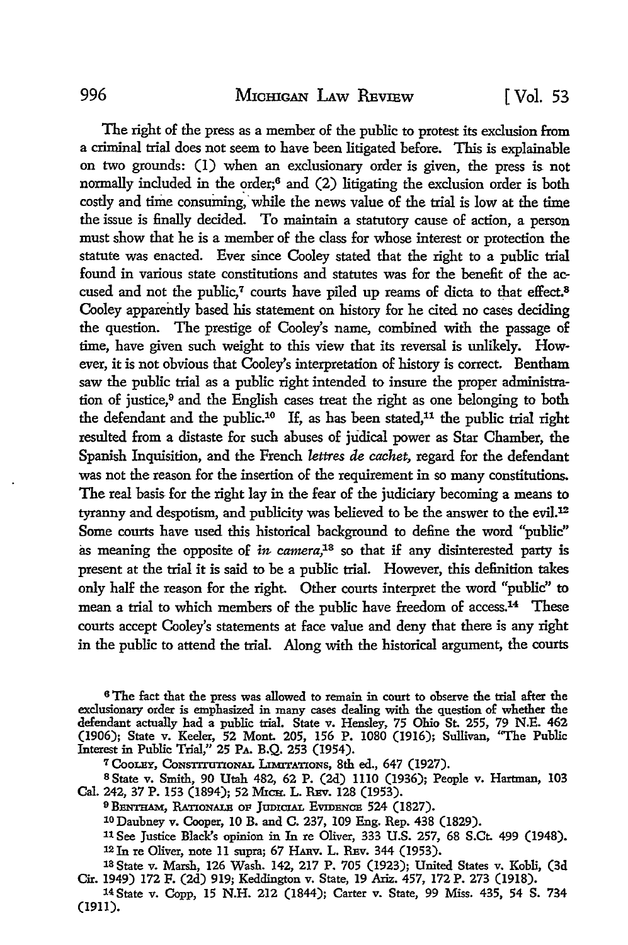The right of the press as a member of the public to protest its exclusion from a criminal trial does not seem to have been litigated before. This is explainable on two grounds: (1) when an exclusionary order is given, the press is not normally included in the order;6 and (2) litigating the exclusion order is both costly and time consuming, while the news value of the trial is low at the time the issue is finally decided. To maintain a statutory cause of action, a person must show that he is a member of the class for whose interest or protection the statute was enacted. Ever since Cooley stated that the right to a public trial found in various state constitutions and statutes was for the benefit of the accused and not the public,<sup>7</sup> courts have piled up reams of dicta to that effect.<sup>8</sup> Cooley apparently based his statement on history for he cited no cases deciding the question. The prestige of Cooley's name, combined with the passage of time, have given such weight to this view that its reversal is unlikely. However, it is not obvious that Cooley's interpretation of history is correct. Bentham saw the public trial as a public right intended to insure the proper administration of justice, 9 and the English cases treat the right as one belonging to both the defendant and the public.10 If, as has been stated,11 the public trial right resulted from a distaste for such abuses of judical power as Star Chamber, the Spanish Inquisition, and the French *lettres de cachet,* regard for the defendant was not the reason for the insertion of the requirement in so many constitutions. The real basis for the right lay in the fear of the judiciary becoming a means to tyranny and despotism, and publicity was believed to be the answer to the evil.<sup>12</sup> Some courts have used this historical background to define the word "public" as meaning the opposite of *in camera,13* so that if any disinterested party is present at the trial it is said to be a public trial. However, this definition takes only half the reason for the right. Other courts interpret the word "public'' to mean a trial to which members of the public have freedom of access.14 These courts accept Cooley's statements at face value and deny that there is any right in the public to attend the trial. Along with the historical argument, the courts

<sup>6</sup>The fact that the press was allowed to remain in court to observe the trial after the exclusionary order is emphasized in many cases dealing with the question of whether the defendant actually had a public trial. State v. Hensley, 75 Ohio St. 255, 79 N.E. 462 (1906); State v. Keeler, 52 Mont. 205, 156 P. 1080 (1916); Sullivan, "The Public Interest in Public Trial,'' 25 PA. B.Q. 253 (1954).

7 CooLEY, CoNSnTIInONAL UMITATIONS, 8th ed., 647 (1927).

<sup>8</sup>State v. Smith, 90 Utah 482, 62 P. (2d) 1110 (1936); People v. Hartman, 103 Cal. 242, 37 P. 153 (1894); 52 MICH. L. REv. 128 (1953).

<sup>9</sup> BENTHAM, RATIONALE OF JUDICIAL EVIDENCE 524 (1827).

10 Daubney v. Cooper, 10 B. and C. 237, 109 Eng. Rep. 438 (1829).

<sup>11</sup>See Justice Black's opinion in In re Oliver, 333 U.S. 257, 68 S.Ct. 499 (1948). <sup>12</sup>Jn re Oliver, note 11 supra; 67 HARv. L. REv. 344 (1953).

13State v. Marsh, 126 Wash. 142,217 P. 705 (1923); United States v. Kobli, (3d Cir. 1949) 172 F. (2d) 919; Keddington v. State, 19 Ariz. 457, 172 P. 273 (1918).

14 State v. Copp, 15 **N.H.** 212 (1844); Carter v. State, 99 Miss. 435, 54 S. 734 (1911).